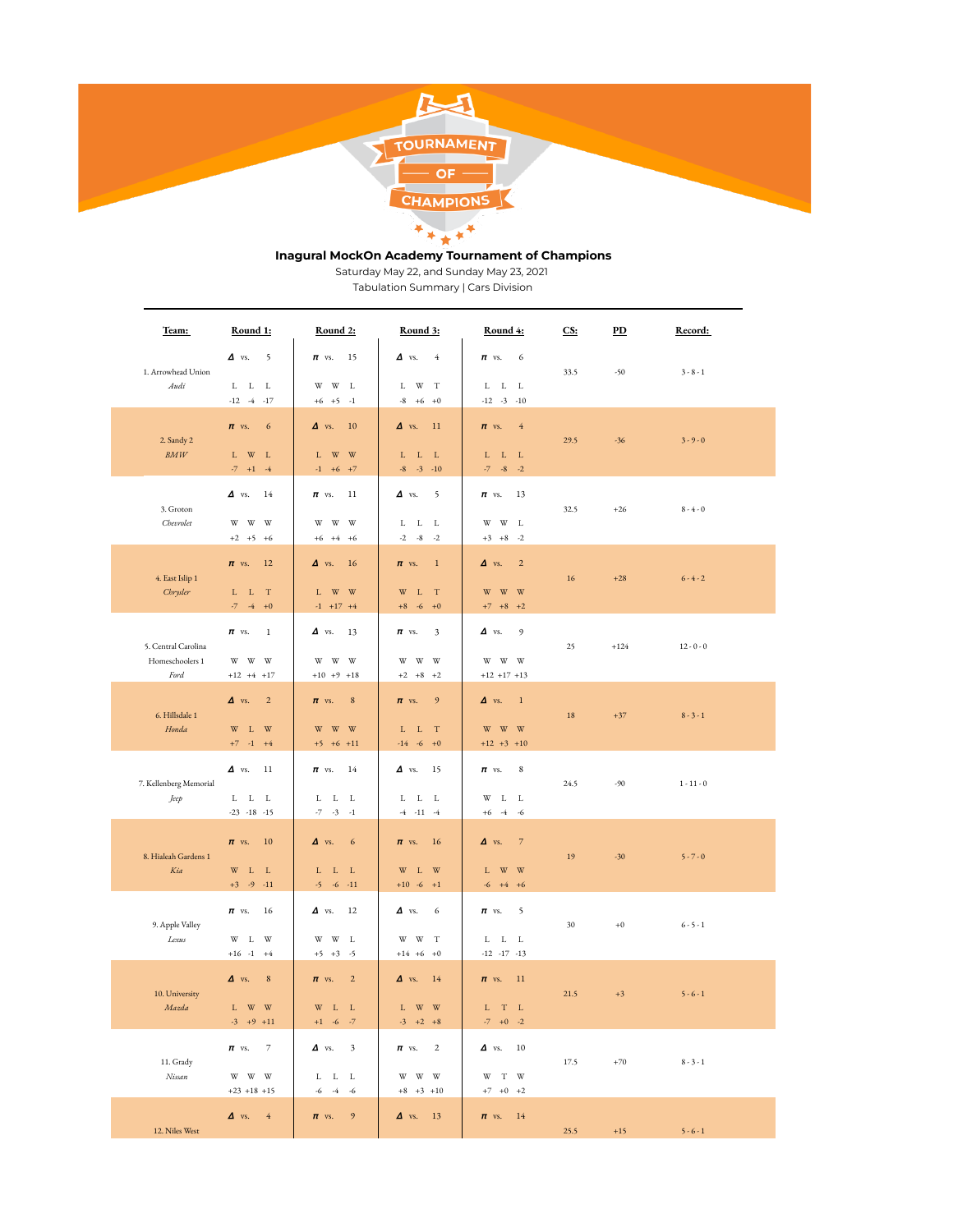

# **Inagural MockOn Academy Tournament of Champions**

Saturday May 22, and Sunday May 23, 2021

Tabulation Summary | Cars Division

| Team:                                          | Round 1:                                                                                                      | Round 2:                                                                                                        | Round 3:                                                                                                        | Round 4:                                                                                                                            | CS:    | $\overline{PD}$ | Record:      |
|------------------------------------------------|---------------------------------------------------------------------------------------------------------------|-----------------------------------------------------------------------------------------------------------------|-----------------------------------------------------------------------------------------------------------------|-------------------------------------------------------------------------------------------------------------------------------------|--------|-----------------|--------------|
| 1. Arrowhead Union<br>Audi                     | $\Delta$ vs.<br>$\overline{\phantom{0}}$<br>${\tt L-L-L}$<br>$-12 -4 -17$                                     | $\pi$ vs.<br>15<br>$\ensuremath{\text{W}}$<br>$\ensuremath{\text{W}}$<br>L<br>$+6$ $+5$ $-1$                    | $\Delta$ vs.<br>$\overline{4}$<br>L W T<br>$-8 + 6 + 0$                                                         | $\pi$ vs.<br>6<br>$\begin{array}{cccc} \text{L} & \text{L} & \text{L} \end{array}$<br>$-12 - 3 - 10$                                | 33.5   | $-50$           | $3 - 8 - 1$  |
| 2. Sandy 2<br>BMW                              | $\epsilon$<br>$\pi$ vs.<br>$L$ W $L$<br>$-7 + 1 - 4$                                                          | 10<br>$\Delta$ vs.<br>W W<br>L<br>$+6$ +7<br>$-1$                                                               | 11<br>$\Delta$ vs.<br>L L L<br>$-8$ $-3$ $-10$                                                                  | $\overline{4}$<br>$\pi$ vs.<br>$L$ $L$ $L$<br>$-7 - -8 - -2$                                                                        | 29.5   | $-36$           | $3 - 9 - 0$  |
| 3. Groton<br>Chevrolet                         | $\Delta$ vs. 14<br>w w w<br>$+2$ $+5$ $+6$                                                                    | $\pi$ vs.<br>11<br>W<br>W<br>W<br>$+6$ $+4$ $+6$                                                                | $\Delta$ vs.<br>$\sim$ 5<br>${\bf L}$ ${\bf -L}$ ${\bf -L}$<br>$-2 -8 -2$                                       | $\pi$ vs.<br>13<br>$\mathbf{W}$ $\mathbf{W}$ $\mathbf{L}$<br>$+3 +8 -2$                                                             | 32.5   | $+26$           | $8 - 4 - 0$  |
| 4. East Islip 1<br>Chrysler                    | $\pi$ vs.<br><sup>12</sup><br>T<br>$L$ L<br>$-7 - 4 + 0$                                                      | $\Delta$ vs.<br>16<br>$\ensuremath{\text{W}}$<br>W<br>L.<br>$-1$ $+17$ $+4$                                     | $\pi$ vs.<br>$\overline{1}$<br>$W$ L T<br>$+8$ -6 +0                                                            | $\Delta$ vs.<br>$\overline{2}$<br>$\ensuremath{\text{W}}$<br>W W<br>$+7$ $+8$ $+2$                                                  | 16     | $+28$           | $6 - 4 - 2$  |
| 5. Central Carolina<br>Homeschoolers 1<br>Ford | $\mathbf{1}$<br>$\pi$ vs.<br>w w w<br>$+12 + 4 + 17$                                                          | $\Delta$ vs.<br>13<br>W<br>W<br>W<br>$+10 +9 +18$                                                               | 3<br>$\pi$ vs.<br>w w w<br>$+2$ $+8$ $+2$                                                                       | $\Delta$ vs.<br>9<br>W W W<br>$+12$ +17 +13                                                                                         | 25     | $+124$          | $12 - 0 - 0$ |
| 6. Hillsdale 1<br>Honda                        | $\Delta$ vs.<br>$\overline{2}$<br>$\mathbbm{W}$ – $\mathbbm{L}$ – $\mathbbm{W}$<br>$+7 - 1 + 4$               | $\bf 8$<br>$\pi$ vs.<br>$\ensuremath{\text{W}}$<br>$\ensuremath{\text{W}}$<br>W<br>$+5$ +6 +11                  | 9<br>$\pi$ vs.<br>$L$ $L$ $T$<br>$-14 -6 +0$                                                                    | $\overline{1}$<br>$\Delta$ vs.<br>$\ensuremath{\mathbf{W}}$ $\ensuremath{\mathbf{W}}$ $\ensuremath{\mathbf{W}}$<br>$+12$ $+3$ $+10$ | $18\,$ | $+37$           | $8 - 3 - 1$  |
| 7. Kellenberg Memorial<br>Jeep                 | $\Delta$ vs.<br>11<br>${\tt L}$ ${\tt L}$ ${\tt L}$<br>$-23 - 18 - 15$                                        | $\pi$ vs.<br>14<br>L L<br>L<br>$-7$<br>$-3 - 1$                                                                 | $\Delta$ vs.<br>15<br>${\bf L}$ ${\bf -L}$ ${\bf -L}$<br>$-4$ $-11$ $-4$                                        | $\pi$ vs.<br>8<br>L L<br>W<br>$+6 -4 -6$                                                                                            | 24.5   | $-90$           | $1 - 11 - 0$ |
| 8. Hialeah Gardens 1<br>Kia                    | <sup>10</sup><br>$\pi$ vs.<br>$W$ L L<br>$+3$ -9 -11                                                          | $\Delta$ vs.<br>$\epsilon$<br>$\begin{array}{cccc} \text{L} & \text{L} & \text{L} \end{array}$<br>$-5 - -6 -11$ | 16<br>$\pi$ vs.<br>$W$ L $W$<br>$+10$ -6 $+1$                                                                   | $\Delta$ vs.<br>$\overline{7}$<br>L W W<br>$-6 + 4 + 6$                                                                             | 19     | $-30$           | $5 - 7 - 0$  |
| 9. Apple Valley<br>Lexus                       | $\pi$ vs.<br>16<br>W L W<br>$+16$ -1 $+4$                                                                     | 12<br>$\Delta$ vs.<br>$\ensuremath{\text{W}}$<br>W<br>L<br>$+5$ $+3$ -5                                         | $\Delta$ vs.<br>6<br>$W - W - T$<br>$+14 +6 +0$                                                                 | $\pi$ vs.<br>$\sim$ 5<br>$\begin{array}{cccc} \text{L} & \text{L} & \text{L} \end{array}$<br>$-12 -17 -13$                          | 30     | $+0$            | $6 - 5 - 1$  |
| 10. University<br>Mazda                        | $\Delta$ vs.<br>$\bf 8$<br>${\tt L}$ $ {\tt W}$ $ {\tt W}$<br>$-3 + 9 + 11$                                   | $\sqrt{2}$<br>$\pi$ vs.<br>$W$ L<br>$\mathbf{L}$<br>$+1\quad$ -6 $\quad$ -7 $\quad$                             | $\Delta$ vs.<br>14<br>W W<br>L<br>$-3 +2 +8$                                                                    | $\pi$ vs.<br>$\overline{11}$<br>${\bf L} = {\bf T} - {\bf L}$<br>$-7 + 0 -2$                                                        | 21.5   | $+3$            | $5 - 6 - 1$  |
| 11. Grady<br>Nissan                            | $\pi$ vs. 7<br>$\ensuremath{\mathbf{W}}$ $\ensuremath{\mathbf{W}}$ $\ensuremath{\mathbf{W}}$<br>$+23$ +18 +15 | $\Delta$ vs. 3<br>$\mathbf{L}=\mathbf{L}-\mathbf{L}$<br>$-6 - 4 - 6$                                            | $\pi$ vs. 2<br>$\ensuremath{\mathbf{W}}$ $\ensuremath{\mathbf{W}}$ $\ensuremath{\mathbf{W}}$<br>$+8$ $+3$ $+10$ | $\Delta$ vs. 10<br>$\mathbf{W}$ $\,$ T $\,$ W<br>$+7$ $+0$ $+2$                                                                     | 17.5   | $+70$           | $8 - 3 - 1$  |
| 12. Niles West                                 | $\Delta$ vs. 4                                                                                                | $\pi$ vs. 9                                                                                                     | $\Delta$ vs. 13                                                                                                 | $\pi$ vs. 14                                                                                                                        | 25.5   | $+15$           | $5 - 6 - 1$  |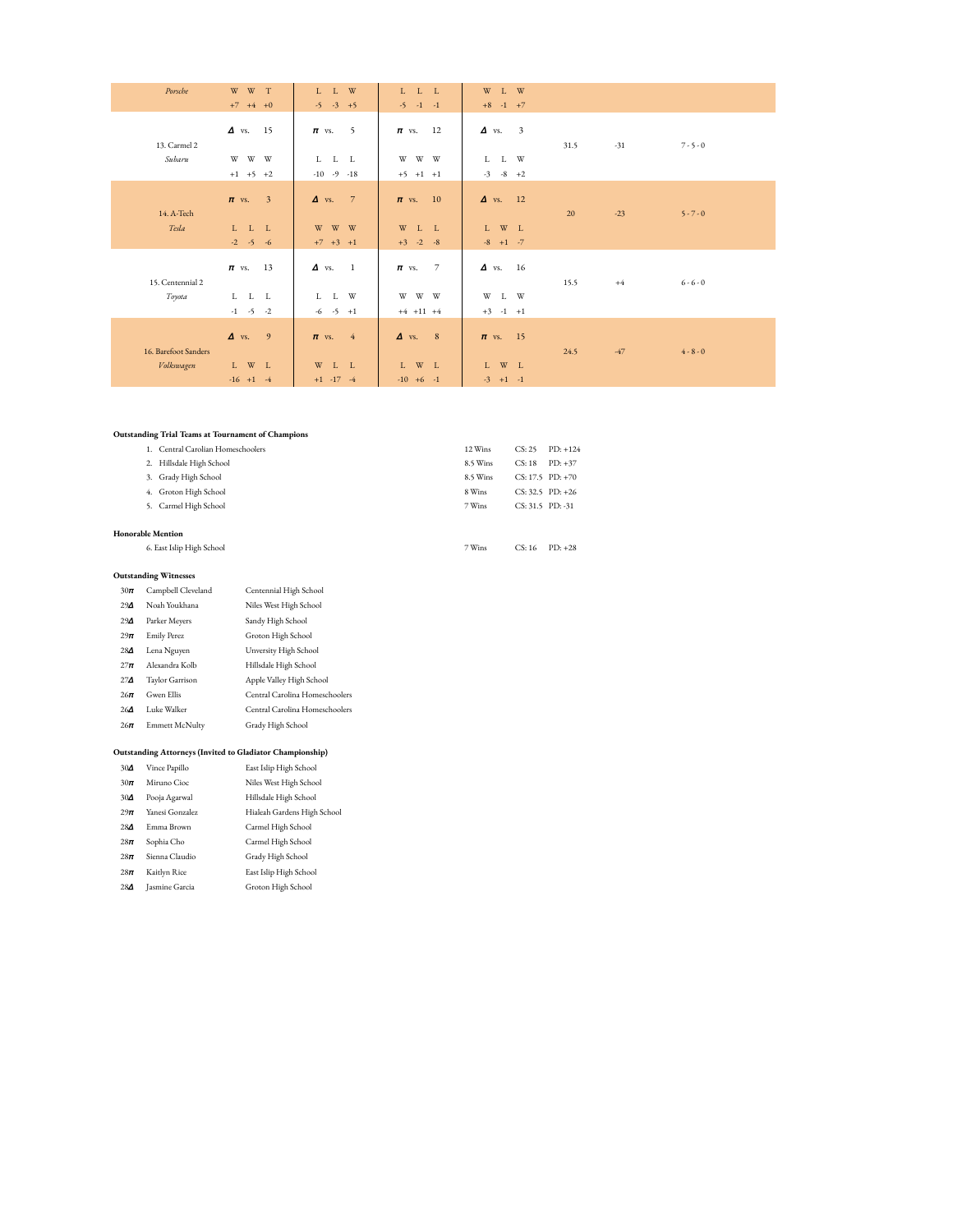| Porsche              | $W$ $W$ $T$<br>$+7$ $+4$ $+0$                   | $L$ $L$ $W$<br>$-5$ $-3$ $+5$            | $\begin{array}{ccc} \text{L} & \text{L} & \text{L} \end{array}$<br>$-5 - 1 - 1$                  | $\mathbbm{W}$ – $\mathbbm{L}$ – $\mathbbm{W}$<br>$+8$ -1 +7 |      |       |             |
|----------------------|-------------------------------------------------|------------------------------------------|--------------------------------------------------------------------------------------------------|-------------------------------------------------------------|------|-------|-------------|
| 13. Carmel 2         | $\Delta$ vs. 15                                 | 5<br>$\pi$ vs.                           | $\pi$ vs. 12                                                                                     | $\Delta$ vs. 3                                              | 31.5 | $-31$ | $7 - 5 - 0$ |
| Subaru               | W W W<br>$+1$ $+5$ $+2$                         | L L L<br>$-10 - 9 - 18$                  | W W W<br>$+5$ $+1$ $+1$                                                                          | $L$ $\quad$ $L$ $\quad$ W<br>$-3 -8 +2$                     |      |       |             |
| 14. A-Tech           | $\pi$ vs. 3                                     | 7<br>$\Delta$ vs.                        | $\pi$ vs. 10                                                                                     | $\Delta$ vs. 12                                             | 20   | $-23$ | $5 - 7 - 0$ |
| Tesla                | L L L<br>$-2$ $-5$ $-6$                         | w w w<br>$+7$ $+3$ $+1$                  | $W$ $L$ $L$<br>$+3$ -2 -8                                                                        | ${\tt L}$ $\;$ W $\;$ L<br>$-8 + 1 - 7$                     |      |       |             |
| 15. Centennial 2     | $\pi$ vs. 13                                    | $\Delta$ vs. 1                           | $\overline{7}$<br>$\pi$ vs.                                                                      | $\Delta$ vs. 16                                             | 15.5 | $+4$  | $6 - 6 - 0$ |
| Toyota               | $L\quad \  \, L\quad \  \, L$<br>$-1$ $-5$ $-2$ | W<br>$\mathbf{L}$<br>L<br>$-6$ $-5$ $+1$ | $\ensuremath{\mathbf{W}}$ $\ensuremath{\mathbf{W}}$ $\ensuremath{\mathbf{W}}$<br>$+4$ $+11$ $+4$ | W<br>L W<br>$+3$ -1 $+1$                                    |      |       |             |
| 16. Barefoot Sanders | $\Delta$ vs. 9                                  | $\pi$ vs. 4                              | $\Delta$ vs. 8                                                                                   | $\pi$ vs. 15                                                | 24.5 | $-47$ | $4 - 8 - 0$ |
| Volkswagen           | ${\tt L}$ $-$ W $-$ L<br>$-16 + 1 -4$           | W<br>L L<br>$+1$ $-17$ $-4$              | $W$ L<br>L<br>$-10 +6 -1$                                                                        | $L$ W $L$<br>$-3 + 1 -1$                                    |      |       |             |

### **Outstanding Trial Teams at Tournament of Champions**

| 1. Central Carolian Homeschoolers | 12 Wins  | CS: 25               | $PD: +124$ |
|-----------------------------------|----------|----------------------|------------|
| Hillsdale High School<br>2.       | 8.5 Wins | CS:18                | $PD: +37$  |
| 3. Grady High School              | 8.5 Wins | $CS: 17.5$ $PD: +70$ |            |
| 4. Groton High School             | 8 Wins   | $CS: 32.5$ PD: $+26$ |            |
| 5. Carmel High School             | 7 Wins   | CS: 31.5 PD: -31     |            |
|                                   |          |                      |            |
| <b>Honorable Mention</b>          |          |                      |            |
| 6. East Islip High School         | 7 Wins   | CS:16                | $PD: +28$  |

#### **Outstanding Witnesses**

| $30\pi$    | Campbell Cleveland | Centennial High School         |
|------------|--------------------|--------------------------------|
| $29\Delta$ | Noah Youkhana      | Niles West High School         |
| $29\Delta$ | Parker Meyers      | Sandy High School              |
| $29\pi$    | <b>Emily Perez</b> | Groton High School             |
| $28\Delta$ | Lena Nguyen        | Unversity High School          |
| $27\pi$    | Alexandra Kolb     | Hillsdale High School          |
| $27\Delta$ | Taylor Garrison    | Apple Valley High School       |
| $26\pi$    | Gwen Ellis         | Central Carolina Homeschoolers |
| $26\Delta$ | Luke Walker        | Central Carolina Homeschoolers |
| $26\pi$    | Emmett McNulty     | Grady High School              |
|            |                    |                                |

# **Outstanding Attorneys (Invited to Gladiator Championship)**

| $30\Delta$ | Vince Papillo   | East Islip High School      |
|------------|-----------------|-----------------------------|
| $30\pi$    | Miruno Cioc     | Niles West High School      |
| $30\Delta$ | Pooja Agarwal   | Hillsdale High School       |
| $29\pi$    | Yanesi Gonzalez | Hialeah Gardens High School |
| $28\Delta$ | Emma Brown      | Carmel High School          |
| $28\pi$    | Sophia Cho      | Carmel High School          |
| $28\pi$    | Sienna Claudio  | Grady High School           |
| $28\pi$    | Kaitlyn Rice    | East Islip High School      |
| $28\Delta$ | Jasmine Garcia  | Groton High School          |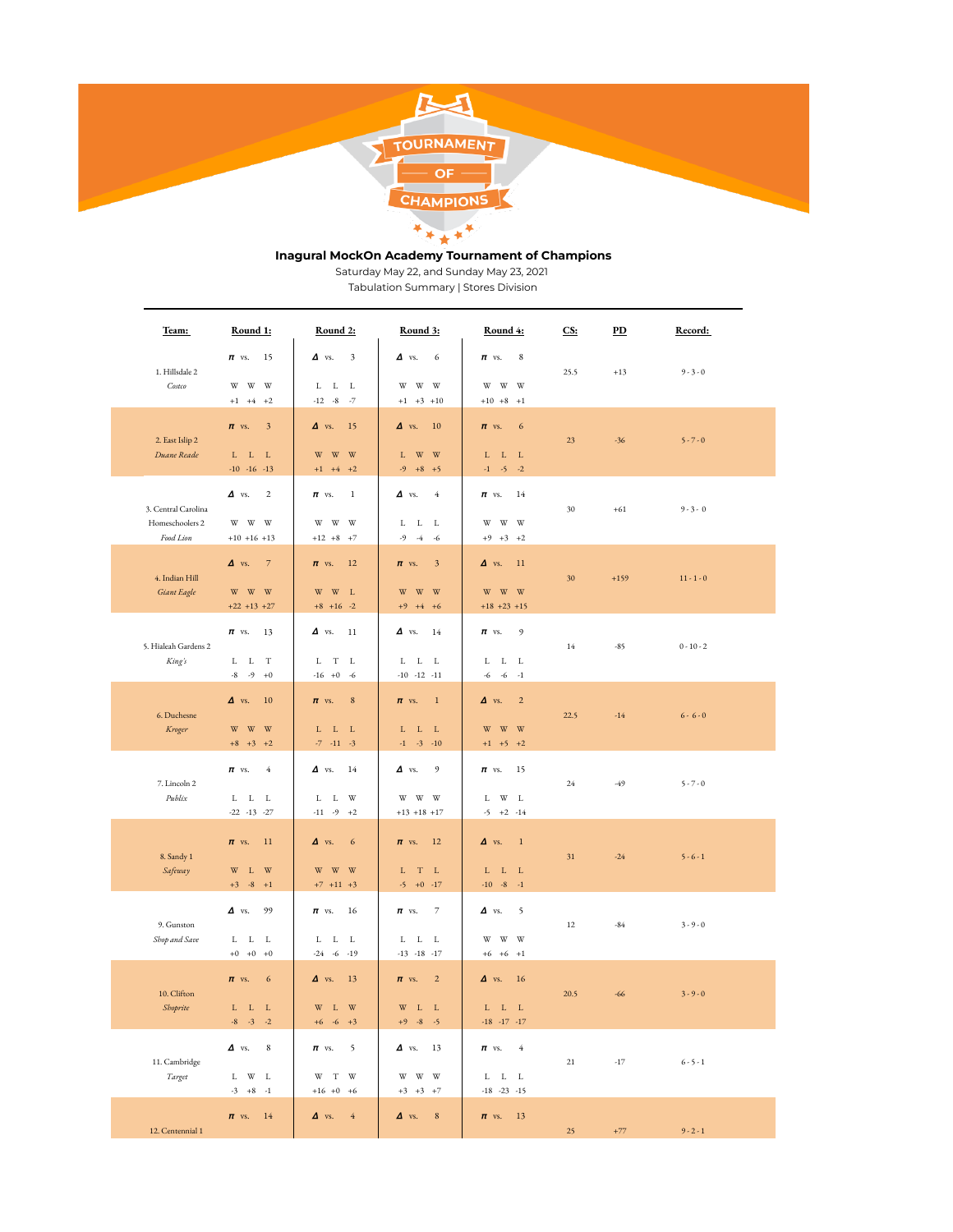

# **Inagural MockOn Academy Tournament of Champions**

Saturday May 22, and Sunday May 23, 2021

Tabulation Summary | Stores Division

| Team:                                               | Round 1:                                                                                                                         | Round 2:                                                                                 | <b>Round 3:</b>                                                        | Round 4:                                                                                                             | CS:    | $\overline{PD}$ | Record:      |
|-----------------------------------------------------|----------------------------------------------------------------------------------------------------------------------------------|------------------------------------------------------------------------------------------|------------------------------------------------------------------------|----------------------------------------------------------------------------------------------------------------------|--------|-----------------|--------------|
| 1. Hillsdale 2<br>Costco                            | $\pi$ vs.<br>15<br>$\ensuremath{\mathbf{W}}$ – $\ensuremath{\mathbf{W}}$<br>W<br>$+1$ $+4$ $+2$                                  | $\Delta$ vs.<br>3<br>$L\quad \  \, L\quad \  \, L$<br>$-12 - 8$<br>$-7$                  | $\Delta$ vs.<br>6<br>w w w<br>$+1$ $+3$ $+10$                          | 8<br>$\pi$ vs.<br>w w w<br>$+10 +8 +1$                                                                               | 25.5   | $+13$           | $9 - 3 - 0$  |
| 2. East Islip 2<br>Duane Reade                      | $\pi$ vs.<br>$\overline{\mathbf{3}}$<br>${\bf L}$ ${\bf -L}$ ${\bf -L}$<br>$-10 -16 -13$                                         | $\Delta$ vs.<br>15<br>W<br>W<br>W<br>$+1$ $+4$ $+2$                                      | 10<br>$\Delta$ vs.<br>L W W<br>$-9 + 8 + 5$                            | $\pi$ vs.<br>6<br>L L L<br>$-1$ $-5$ $-2$                                                                            | 23     | $-36$           | $5 - 7 - 0$  |
| 3. Central Carolina<br>Homeschoolers 2<br>Food Lion | $\Delta$ vs.<br>$\overline{2}$<br>$\ensuremath{\mathbf{W}}$ $\ensuremath{\mathbf{W}}$ $\ensuremath{\mathbf{W}}$<br>$+10$ +16 +13 | $\mathbf{1}$<br>$\pi$ vs.<br>$\mathbf{W}$<br>$\ensuremath{\text{W}}$<br>W<br>$+12 +8 +7$ | $\Delta$ vs.<br>4<br>${\tt L-L-L}$<br>$-9$<br>$-4 - 6$                 | 14<br>$\pi$ vs.<br>$\ensuremath{\mathbf{W}}$ $\ensuremath{\mathbf{W}}$ $\ensuremath{\mathbf{W}}$<br>$+9$ $+3$ $+2$   | 30     | $+61$           | $9 - 3 - 0$  |
| 4. Indian Hill<br>Giant Eagle                       | $\overline{7}$<br>$\Delta$ vs.<br>$\ensuremath{\mathbf{W}}$ $\ensuremath{\mathbf{W}}$ $\ensuremath{\mathbf{W}}$<br>$+22$ +13 +27 | <sup>12</sup><br>$\pi$ vs.<br>$W$ L<br>$\ensuremath{\text{W}}$<br>$+8$ +16 -2            | $\overline{\mathbf{3}}$<br>$\pi$ vs.<br>w w w<br>$+9$ $+4$ $+6$        | 11<br>$\Delta$ vs.<br>$\ensuremath{\mathbf{W}}$ $\ensuremath{\mathbf{W}}$ $\ensuremath{\mathbf{W}}$<br>$+18$ +23 +15 | 30     | $+159$          | $11 - 1 - 0$ |
| 5. Hialeah Gardens 2<br>King's                      | $\pi$ vs.<br>13<br>L L T<br>$-8$ $-9$ $+0$                                                                                       | $\Delta$ vs.<br>11<br>L<br>$_{\rm T}$<br>L<br>$-16 + 0$<br>$-6$                          | $\Delta$ vs.<br>14<br>${\bf L}$ ${\bf -L}$ ${\bf -L}$<br>$-10 -12 -11$ | 9<br>$\pi$ vs.<br>${\tt L}$ ${\tt L}$ ${\tt L}$<br>$-6 - 1$<br>-6                                                    | 14     | $-85$           | $0 - 10 - 2$ |
| 6. Duchesne<br>Kroger                               | 10<br>$\Delta$ vs.<br>$W - W - W$<br>$+8$ $+3$ $+2$                                                                              | $\bf 8$<br>$\pi$ vs.<br>$\mathbf{L}=\mathbf{L}$<br>L<br>$-7$<br>$-11 - 3$                | $\overline{1}$<br>$\pi$ vs.<br>$L - L$<br>$\_$ L<br>$-1$ $-3$ $-10$    | $\overline{2}$<br>$\Delta$ vs.<br>$\ensuremath{\text{W}}$<br>W W<br>$+1$ $+5$ $+2$                                   | 22.5   | $-14$           | $6 - 6 - 0$  |
| 7. Lincoln 2<br>Publix                              | $\pi$ vs.<br>$\overline{4}$<br>${\tt L}$ ${\tt L}$ ${\tt L}$<br>$-22 -13 -27$                                                    | $\Delta$ vs.<br>14<br>L<br>L W<br>$-11 - 9 + 2$                                          | 9<br>$\Delta$ vs.<br>w w w<br>$+13$ +18 +17                            | $\pi$ vs.<br>15<br>$\mathbf{W}-\mathbf{L}$<br>L<br>$-5 + 2 -14$                                                      | 24     | $-49$           | $5 - 7 - 0$  |
| 8. Sandy 1<br>Safeway                               | $\pi$ vs.<br>-11<br>$\mathbbm{W}$ – $\mathbbm{L}$ – $\mathbbm{W}$<br>$+3$ $-8$ $+1$                                              | $\Delta$ vs.<br>6<br>W<br>W W<br>$+7$ $+11$ $+3$                                         | $\pi$ vs.<br>12<br>$L$ T $L$<br>$-5 + 0 -17$                           | $\Delta$ vs.<br>$\overline{1}$<br>${\bf L}$ ${\bf -L}$ ${\bf -L}$<br>$-10 - 8 - 1$                                   | 31     | $-24$           | $5 - 6 - 1$  |
| 9. Gunston<br>Shop and Save                         | $\Delta$ vs.<br>99<br>L L L<br>$+0$ +0 +0                                                                                        | $\pi$ vs.<br>16<br>L L<br>L<br>$-6 - 19$<br>$-24$                                        | $\overline{7}$<br>$\pi$ vs.<br>$L$ $L$ $L$<br>$-13 - 18 - 17$          | $\Delta$ vs.<br>5<br>$W - W$<br>W<br>$+6$ +6 +1                                                                      | 12     | $-84$           | $3 - 9 - 0$  |
| 10. Clifton<br>Shoprite                             | $\epsilon$<br>$\pi$ vs.<br>${\bf L}$ ${\bf -L}$ ${\bf -L}$<br>$-8$ $-3$ $-2$                                                     | $\Delta$ vs.<br>13<br>$\ensuremath{\text{W}}$<br>$\mathbf L$<br>W<br>$+6$ -6 $+3$        | $\overline{2}$<br>$\pi$ vs.<br>$W$ L<br>$-{\bf L}$<br>$+9 - 8 - 5$     | $\Delta$ vs.<br>16<br>${\bf L}$ ${\bf -L}$ ${\bf -L}$<br>$-18 - 17 - 17$                                             | 20.5   | $-66$           | $3 - 9 - 0$  |
| 11. Cambridge<br>Target                             | $\Delta$ vs.<br>8<br>${\tt L}$ $-$ W $-$ L<br>$-3 +8 -1$                                                                         | 5<br>$\pi$ vs.<br>W T W<br>$+16$ +0 +6                                                   | $\Delta$ vs. 13<br>w w w<br>$+3$ $+3$ $+7$                             | $\pi$ vs.<br>$-4$<br>${\bf L}$ ${\bf -L}$ ${\bf -L}$<br>$-18 - 23 - 15$                                              | $21\,$ | $-17$           | $6 - 5 - 1$  |
| 12. Centennial 1                                    | $\pi$ vs.<br>14                                                                                                                  | $\Delta$ vs.<br>$\rm 4$                                                                  | $\bf 8$<br>$\Delta$ vs.                                                | <sup>13</sup><br>$\pi$ vs.                                                                                           | 25     | $+77$           | $9 - 2 - 1$  |